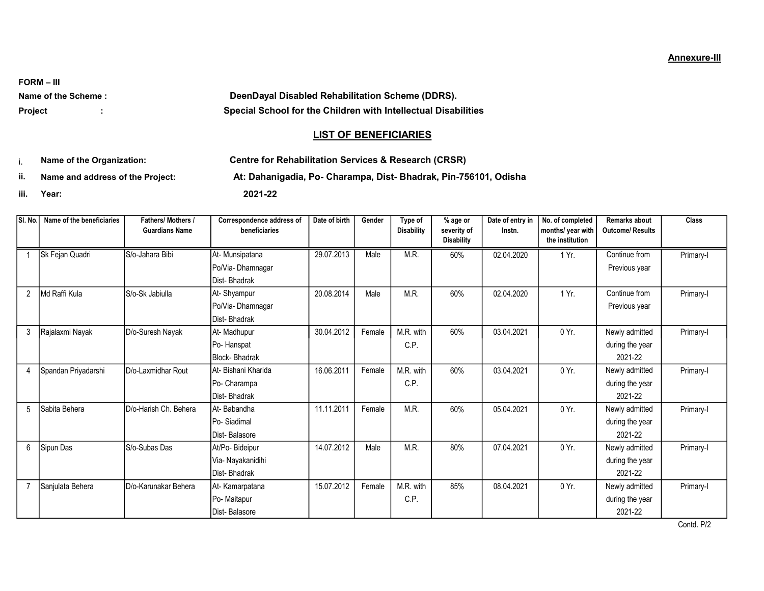FORM – III

Name of the Scheme : <br> DeenDayal Disabled Rehabilitation Scheme (DDRS). Project : Special School for the Children with Intellectual Disabilities

## **LIST OF BENEFICIARIES**

i. Name of the Organization: Centre for Rehabilitation Services & Research (CRSR)

ii. Name and address of the Project: At: Dahanigadia, Po- Charampa, Dist- Bhadrak, Pin-756101, Odisha

iii. Year: 2021-22

| SI. No.        | Name of the beneficiaries | Fathers/ Mothers /<br><b>Guardians Name</b> | Correspondence address of<br>beneficiaries | Date of birth | Gender | Type of<br><b>Disability</b> | $%$ age or<br>severity of<br><b>Disability</b> | Date of entry in<br>Instn. | No. of completed<br>months/ year with<br>the institution | <b>Remarks about</b><br><b>Outcome/ Results</b> | <b>Class</b> |
|----------------|---------------------------|---------------------------------------------|--------------------------------------------|---------------|--------|------------------------------|------------------------------------------------|----------------------------|----------------------------------------------------------|-------------------------------------------------|--------------|
|                | Sk Fejan Quadri           | S/o-Jahara Bibi                             | At- Munsipatana                            | 29.07.2013    | Male   | M.R.                         | 60%                                            | 02.04.2020                 | 1 Yr.                                                    | Continue from                                   | Primary-I    |
|                |                           |                                             | Po/Via-Dhamnagar                           |               |        |                              |                                                |                            |                                                          | Previous year                                   |              |
|                |                           |                                             | Dist-Bhadrak                               |               |        |                              |                                                |                            |                                                          |                                                 |              |
| $\overline{2}$ | Md Raffi Kula             | S/o-Sk Jabiulla                             | At-Shyampur                                | 20.08.2014    | Male   | M.R.                         | 60%                                            | 02.04.2020                 | 1 Yr.                                                    | Continue from                                   | Primary-I    |
|                |                           |                                             | Po/Via-Dhamnagar                           |               |        |                              |                                                |                            |                                                          | Previous year                                   |              |
|                |                           |                                             | Dist-Bhadrak                               |               |        |                              |                                                |                            |                                                          |                                                 |              |
| 3              | Rajalaxmi Nayak           | D/o-Suresh Nayak                            | At- Madhupur                               | 30.04.2012    | Female | M.R. with                    | 60%                                            | 03.04.2021                 | 0 Yr.                                                    | Newly admitted                                  | Primary-I    |
|                |                           |                                             | Po-Hanspat                                 |               |        | C.P.                         |                                                |                            |                                                          | during the year                                 |              |
|                |                           |                                             | <b>Block-Bhadrak</b>                       |               |        |                              |                                                |                            |                                                          | 2021-22                                         |              |
| 4              | Spandan Priyadarshi       | D/o-Laxmidhar Rout                          | At-Bishani Kharida                         | 16.06.2011    | Female | M.R. with                    | 60%                                            | 03.04.2021                 | $0 Yr$ .                                                 | Newly admitted                                  | Primary-I    |
|                |                           |                                             | Po- Charampa                               |               |        | C.P.                         |                                                |                            |                                                          | during the year                                 |              |
|                |                           |                                             | Dist-Bhadrak                               |               |        |                              |                                                |                            |                                                          | 2021-22                                         |              |
| 5              | Sabita Behera             | D/o-Harish Ch. Behera                       | At-Babandha                                | 11.11.2011    | Female | M.R.                         | 60%                                            | 05.04.2021                 | 0 Yr.                                                    | Newly admitted                                  | Primary-I    |
|                |                           |                                             | Po-Siadimal                                |               |        |                              |                                                |                            |                                                          | during the year                                 |              |
|                |                           |                                             | Dist-Balasore                              |               |        |                              |                                                |                            |                                                          | 2021-22                                         |              |
| 6              | Sipun Das                 | S/o-Subas Das                               | At/Po- Bideipur                            | 14.07.2012    | Male   | M.R.                         | 80%                                            | 07.04.2021                 | 0Yr.                                                     | Newly admitted                                  | Primary-I    |
|                |                           |                                             | Via- Nayakanidihi                          |               |        |                              |                                                |                            |                                                          | during the year                                 |              |
|                |                           |                                             | Dist-Bhadrak                               |               |        |                              |                                                |                            |                                                          | 2021-22                                         |              |
|                | Sanjulata Behera          | D/o-Karunakar Behera                        | At-Kamarpatana                             | 15.07.2012    | Female | M.R. with                    | 85%                                            | 08.04.2021                 | $0 Yr$ .                                                 | Newly admitted                                  | Primary-I    |
|                |                           |                                             | Po- Maitapur                               |               |        | C.P.                         |                                                |                            |                                                          | during the year                                 |              |
|                |                           |                                             | Dist-Balasore                              |               |        |                              |                                                |                            |                                                          | 2021-22                                         |              |

Contd. P/2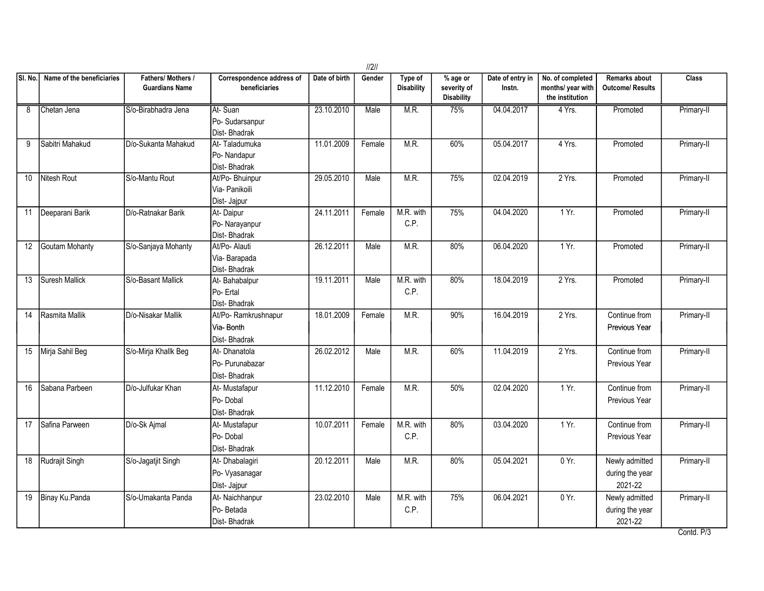|                 |                           |                                             |                                                   |               | 2      |                              |                                                     |                            |                                                          |                                              |              |
|-----------------|---------------------------|---------------------------------------------|---------------------------------------------------|---------------|--------|------------------------------|-----------------------------------------------------|----------------------------|----------------------------------------------------------|----------------------------------------------|--------------|
| SI. No          | Name of the beneficiaries | Fathers/ Mothers /<br><b>Guardians Name</b> | Correspondence address of<br>beneficiaries        | Date of birth | Gender | Type of<br><b>Disability</b> | $\sqrt%$ age or<br>severity of<br><b>Disability</b> | Date of entry in<br>Instn. | No. of completed<br>months/ year with<br>the institution | <b>Remarks about</b><br>Outcome/ Results     | <b>Class</b> |
| 8               | Chetan Jena               | S/o-Birabhadra Jena                         | At-Suan<br>Po-Sudarsanpur<br>Dist-Bhadrak         | 23.10.2010    | Male   | M.R.                         | 75%                                                 | 04.04.2017                 | 4 Yrs.                                                   | Promoted                                     | Primary-II   |
| 9               | Sabitri Mahakud           | D/o-Sukanta Mahakud                         | At-Taladumuka<br>Po-Nandapur<br>Dist-Bhadrak      | 11.01.2009    | Female | M.R.                         | 60%                                                 | 05.04.2017                 | 4 Yrs.                                                   | Promoted                                     | Primary-II   |
| 10 <sup>1</sup> | Nitesh Rout               | S/o-Mantu Rout                              | At/Po- Bhuinpur<br>Via- Panikoili<br>Dist- Jajpur | 29.05.2010    | Male   | M.R.                         | 75%                                                 | 02.04.2019                 | 2 Yrs.                                                   | Promoted                                     | Primary-II   |
| 11              | Deeparani Barik           | D/o-Ratnakar Barik                          | At-Daipur<br>Po-Narayanpur<br>Dist-Bhadrak        | 24.11.2011    | Female | M.R. with<br>C.P.            | 75%                                                 | 04.04.2020                 | $1Yr$ .                                                  | Promoted                                     | Primary-II   |
| 12              | Goutam Mohanty            | S/o-Sanjaya Mohanty                         | At/Po- Alauti<br>Via-Barapada<br>Dist-Bhadrak     | 26.12.2011    | Male   | M.R.                         | 80%                                                 | 06.04.2020                 | 1Yr.                                                     | Promoted                                     | Primary-II   |
| 13              | Suresh Mallick            | S/o-Basant Mallick                          | At-Bahabalpur<br>Po- Ertal<br>Dist-Bhadrak        | 19.11.2011    | Male   | M.R. with<br>C.P.            | 80%                                                 | 18.04.2019                 | 2 Yrs.                                                   | Promoted                                     | Primary-II   |
| 14              | Rasmita Mallik            | D/o-Nisakar Mallik                          | At/Po-Ramkrushnapur<br>Via-Bonth<br>Dist-Bhadrak  | 18.01.2009    | Female | M.R.                         | 90%                                                 | 16.04.2019                 | 2 Yrs.                                                   | Continue from<br>Previous Year               | Primary-II   |
| 15              | Mirja Sahil Beg           | S/o-Mirja Khallk Beg                        | At-Dhanatola<br>IPo- Purunabazar<br>Dist-Bhadrak  | 26.02.2012    | Male   | M.R.                         | 60%                                                 | 11.04.2019                 | 2 Yrs.                                                   | Continue from<br>Previous Year               | Primary-II   |
| 16              | Sabana Parbeen            | D/o-Julfukar Khan                           | At- Mustafapur<br>Po-Dobal<br>Dist-Bhadrak        | 11.12.2010    | Female | M.R.                         | 50%                                                 | 02.04.2020                 | 1 Yr.                                                    | Continue from<br>Previous Year               | Primary-II   |
| 17              | Safina Parween            | D/o-Sk Ajmal                                | At- Mustafapur<br>Po-Dobal<br>Dist-Bhadrak        | 10.07.2011    | Female | M.R. with<br>C.P.            | 80%                                                 | 03.04.2020                 | 1 Yr.                                                    | Continue from<br>Previous Year               | Primary-II   |
| 18              | Rudrajit Singh            | S/o-Jagatjit Singh                          | At- Dhabalagiri<br>Po- Vyasanagar<br>Dist- Jajpur | 20.12.2011    | Male   | M.R.                         | 80%                                                 | 05.04.2021                 | 0 Yr.                                                    | Newly admitted<br>during the year<br>2021-22 | Primary-II   |
| 19              | Binay Ku.Panda            | S/o-Umakanta Panda                          | At-Naichhanpur<br>Po-Betada<br>Dist-Bhadrak       | 23.02.2010    | Male   | M.R. with<br>C.P.            | 75%                                                 | 06.04.2021                 | 0 Yr.                                                    | Newly admitted<br>during the year<br>2021-22 | Primary-II   |

Contd. P/3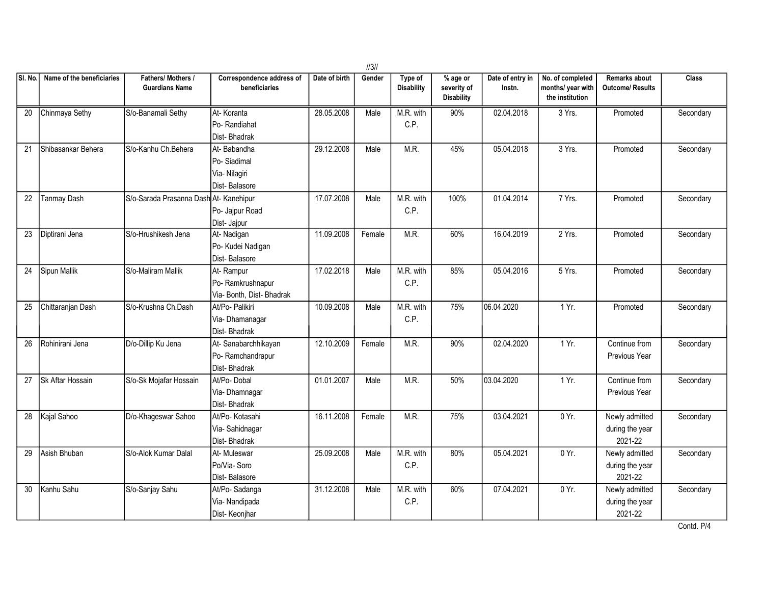|                 | 1/3/1                     |                                             |                                                              |               |        |                              |                                              |                            |                                                          |                                              |           |  |
|-----------------|---------------------------|---------------------------------------------|--------------------------------------------------------------|---------------|--------|------------------------------|----------------------------------------------|----------------------------|----------------------------------------------------------|----------------------------------------------|-----------|--|
| SI. No          | Name of the beneficiaries | Fathers/ Mothers /<br><b>Guardians Name</b> | Correspondence address of<br>beneficiaries                   | Date of birth | Gender | Type of<br><b>Disability</b> | % age or<br>severity of<br><b>Disability</b> | Date of entry in<br>Instn. | No. of completed<br>months/ year with<br>the institution | Remarks about<br>Outcome/ Results            | Class     |  |
| 20              | Chinmaya Sethy            | S/o-Banamali Sethy                          | At-Koranta<br>Po-Randiahat<br>Dist-Bhadrak                   | 28.05.2008    | Male   | M.R. with<br>C.P.            | 90%                                          | 02.04.2018                 | 3 Yrs.                                                   | Promoted                                     | Secondary |  |
| 21              | Shibasankar Behera        | S/o-Kanhu Ch.Behera                         | At-Babandha<br>Po-Siadimal<br>Via- Nilagiri<br>Dist-Balasore | 29.12.2008    | Male   | M.R.                         | 45%                                          | 05.04.2018                 | 3 Yrs.                                                   | Promoted                                     | Secondary |  |
| 22              | <b>Tanmay Dash</b>        | S/o-Sarada Prasanna Dash At- Kanehipur      | Po- Jajpur Road<br>Dist- Jajpur                              | 17.07.2008    | Male   | M.R. with<br>C.P.            | 100%                                         | 01.04.2014                 | 7 Yrs.                                                   | Promoted                                     | Secondary |  |
| 23              | Diptirani Jena            | S/o-Hrushikesh Jena                         | At- Nadigan<br>Po- Kudei Nadigan<br>Dist-Balasore            | 11.09.2008    | Female | M.R.                         | 60%                                          | 16.04.2019                 | 2 Yrs.                                                   | Promoted                                     | Secondary |  |
| 24              | Sipun Mallik              | S/o-Maliram Mallik                          | At-Rampur<br>Po-Ramkrushnapur<br>Via- Bonth, Dist- Bhadrak   | 17.02.2018    | Male   | M.R. with<br>C.P.            | 85%                                          | 05.04.2016                 | 5 Yrs.                                                   | Promoted                                     | Secondary |  |
| 25              | Chittaranjan Dash         | S/o-Krushna Ch.Dash                         | At/Po- Palikiri<br>Via- Dhamanagar<br>Dist-Bhadrak           | 10.09.2008    | Male   | M.R. with<br>C.P.            | 75%                                          | 06.04.2020                 | 1 Yr.                                                    | Promoted                                     | Secondary |  |
| 26              | Rohinirani Jena           | D/o-Dillip Ku Jena                          | At-Sanabarchhikayan<br>Po-Ramchandrapur<br>Dist-Bhadrak      | 12.10.2009    | Female | M.R.                         | 90%                                          | 02.04.2020                 | 1 Yr.                                                    | Continue from<br>Previous Year               | Secondary |  |
| 27              | Sk Aftar Hossain          | S/o-Sk Mojafar Hossain                      | At/Po-Dobal<br>Via-Dhamnagar<br>Dist-Bhadrak                 | 01.01.2007    | Male   | M.R.                         | 50%                                          | 03.04.2020                 | 1 Yr.                                                    | Continue from<br>Previous Year               | Secondary |  |
| 28              | Kajal Sahoo               | D/o-Khageswar Sahoo                         | At/Po- Kotasahi<br>Via-Sahidnagar<br>Dist-Bhadrak            | 16.11.2008    | Female | M.R.                         | 75%                                          | 03.04.2021                 | 0 Yr.                                                    | Newly admitted<br>during the year<br>2021-22 | Secondary |  |
| 29              | Asish Bhuban              | S/o-Alok Kumar Dalal                        | At- Muleswar<br>Po/Via-Soro<br>Dist-Balasore                 | 25.09.2008    | Male   | M.R. with<br>C.P.            | 80%                                          | 05.04.2021                 | 0 Yr.                                                    | Newly admitted<br>during the year<br>2021-22 | Secondary |  |
| 30 <sup>°</sup> | Kanhu Sahu                | S/o-Sanjay Sahu                             | At/Po-Sadanga<br>Via- Nandipada<br>Dist-Keonjhar             | 31.12.2008    | Male   | M.R. with<br>C.P.            | 60%                                          | 07.04.2021                 | 0 Yr.                                                    | Newly admitted<br>during the year<br>2021-22 | Secondary |  |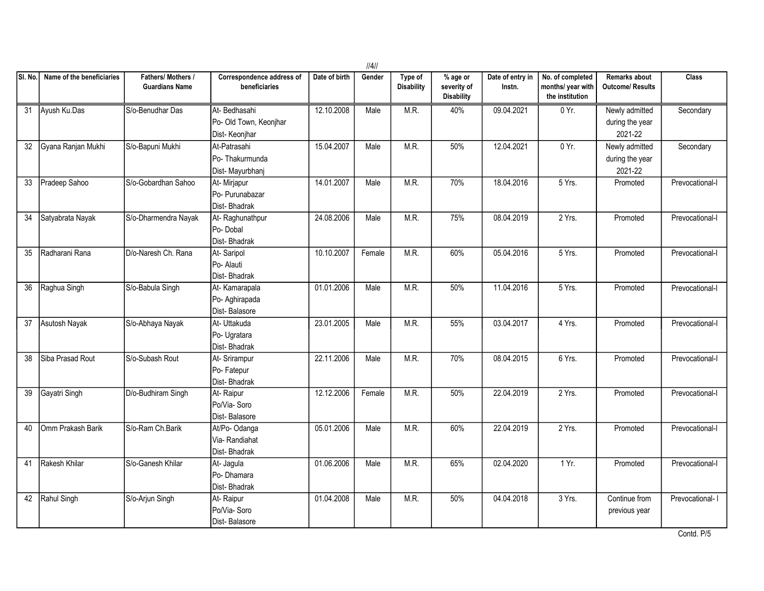|         |                           |                                           |                                                         |               | 4      |                              |                                                |                            |                                                          |                                              |                 |
|---------|---------------------------|-------------------------------------------|---------------------------------------------------------|---------------|--------|------------------------------|------------------------------------------------|----------------------------|----------------------------------------------------------|----------------------------------------------|-----------------|
| SI. No. | Name of the beneficiaries | Fathers/Mothers/<br><b>Guardians Name</b> | Correspondence address of<br>beneficiaries              | Date of birth | Gender | Type of<br><b>Disability</b> | $%$ age or<br>severity of<br><b>Disability</b> | Date of entry in<br>Instn. | No. of completed<br>months/ year with<br>the institution | Remarks about<br><b>Outcome/ Results</b>     | <b>Class</b>    |
| 31      | Ayush Ku.Das              | S/o-Benudhar Das                          | At-Bedhasahi<br>Po- Old Town, Keonjhar<br>Dist-Keonjhar | 12.10.2008    | Male   | M.R.                         | 40%                                            | 09.04.2021                 | 0 Yr.                                                    | Newly admitted<br>during the year<br>2021-22 | Secondary       |
| 32      | Gyana Ranjan Mukhi        | S/o-Bapuni Mukhi                          | At-Patrasahi<br>Po-Thakurmunda<br>Dist-Mayurbhanj       | 15.04.2007    | Male   | M.R.                         | 50%                                            | 12.04.2021                 | 0 Yr.                                                    | Newly admitted<br>during the year<br>2021-22 | Secondary       |
| 33      | Pradeep Sahoo             | S/o-Gobardhan Sahoo                       | At- Mirjapur<br>Po- Purunabazar<br>Dist-Bhadrak         | 14.01.2007    | Male   | M.R.                         | 70%                                            | 18.04.2016                 | 5 Yrs.                                                   | Promoted                                     | Prevocational-I |
| 34      | Satyabrata Nayak          | S/o-Dharmendra Nayak                      | At-Raghunathpur<br>Po-Dobal<br>Dist-Bhadrak             | 24.08.2006    | Male   | M.R.                         | 75%                                            | 08.04.2019                 | 2 Yrs.                                                   | Promoted                                     | Prevocational-I |
| 35      | Radharani Rana            | D/o-Naresh Ch. Rana                       | At-Saripol<br>Po- Alauti<br>Dist-Bhadrak                | 10.10.2007    | Female | M.R.                         | 60%                                            | 05.04.2016                 | 5 Yrs.                                                   | Promoted                                     | Prevocational-I |
| 36      | Raghua Singh              | S/o-Babula Singh                          | At-Kamarapala<br>Po-Aghirapada<br>Dist-Balasore         | 01.01.2006    | Male   | M.R.                         | 50%                                            | 11.04.2016                 | 5 Yrs.                                                   | Promoted                                     | Prevocational-I |
| 37      | Asutosh Nayak             | S/o-Abhaya Nayak                          | At- Uttakuda<br>Po- Ugratara<br>Dist-Bhadrak            | 23.01.2005    | Male   | M.R.                         | 55%                                            | 03.04.2017                 | 4 Yrs.                                                   | Promoted                                     | Prevocational-I |
| 38      | Siba Prasad Rout          | S/o-Subash Rout                           | At- Srirampur<br>Po-Fatepur<br>Dist-Bhadrak             | 22.11.2006    | Male   | M.R.                         | 70%                                            | 08.04.2015                 | 6 Yrs.                                                   | Promoted                                     | Prevocational-I |
| 39      | Gayatri Singh             | D/o-Budhiram Singh                        | At-Raipur<br>Po/Via-Soro<br>Dist-Balasore               | 12.12.2006    | Female | M.R.                         | 50%                                            | 22.04.2019                 | 2 Yrs.                                                   | Promoted                                     | Prevocational-I |
| 40      | Omm Prakash Barik         | S/o-Ram Ch.Barik                          | At/Po-Odanga<br>Via-Randiahat<br>Dist-Bhadrak           | 05.01.2006    | Male   | M.R.                         | 60%                                            | 22.04.2019                 | 2 Yrs.                                                   | Promoted                                     | Prevocational-I |
| 41      | Rakesh Khilar             | S/o-Ganesh Khilar                         | At-Jagula<br>Po-Dhamara<br>Dist-Bhadrak                 | 01.06.2006    | Male   | M.R.                         | 65%                                            | 02.04.2020                 | 1Yr.                                                     | Promoted                                     | Prevocational-I |
| 42      | Rahul Singh               | S/o-Arjun Singh                           | At-Raipur<br>Po/Via-Soro<br>Dist-Balasore               | 01.04.2008    | Male   | M.R.                         | 50%                                            | 04.04.2018                 | 3 Yrs.                                                   | Continue from<br>previous year               | Prevocational-1 |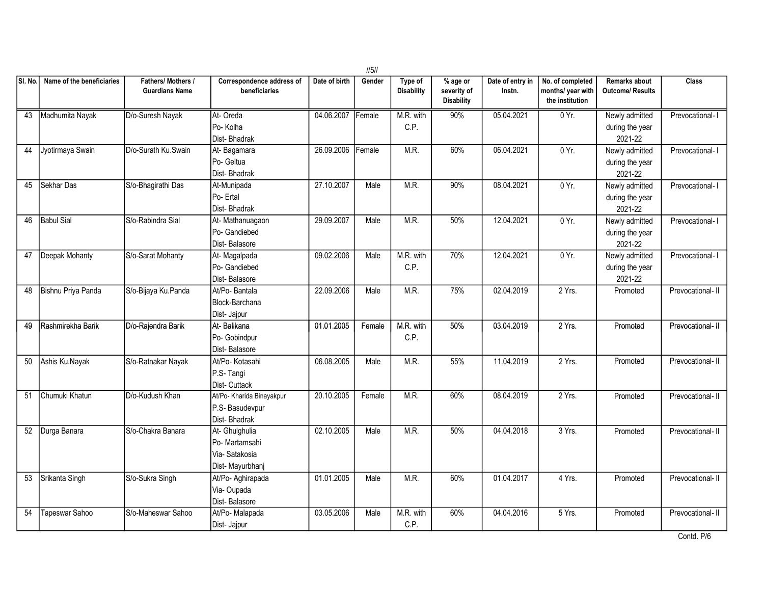|         |                           |                                             |                                                                      |               | $\frac{1}{5}$ |                              |                                       |                            |                                                          |                                                 |                   |
|---------|---------------------------|---------------------------------------------|----------------------------------------------------------------------|---------------|---------------|------------------------------|---------------------------------------|----------------------------|----------------------------------------------------------|-------------------------------------------------|-------------------|
| SI. No. | Name of the beneficiaries | Fathers/ Mothers /<br><b>Guardians Name</b> | Correspondence address of<br>beneficiaries                           | Date of birth | Gender        | Type of<br><b>Disability</b> | % age or<br>severity of<br>Disability | Date of entry in<br>Instn. | No. of completed<br>months/ year with<br>the institution | <b>Remarks about</b><br><b>Outcome/ Results</b> | <b>Class</b>      |
| 43      | Madhumita Nayak           | D/o-Suresh Nayak                            | At-Oreda<br>Po-Kolha<br>Dist-Bhadrak                                 | 04.06.2007    | Female        | M.R. with<br>C.P.            | 90%                                   | 05.04.2021                 | 0 Yr.                                                    | Newly admitted<br>during the year<br>2021-22    | Prevocational-1   |
| 44      | Jyotirmaya Swain          | D/o-Surath Ku.Swain                         | At-Bagamara<br>Po- Geltua<br>Dist-Bhadrak                            | 26.09.2006    | Female        | M.R.                         | 60%                                   | 06.04.2021                 | $0 Yr$ .                                                 | Newly admitted<br>during the year<br>2021-22    | Prevocational-1   |
| 45      | Sekhar Das                | S/o-Bhagirathi Das                          | At-Munipada<br>Po-Ertal<br>Dist-Bhadrak                              | 27.10.2007    | Male          | M.R.                         | 90%                                   | 08.04.2021                 | $0 Yr$ .                                                 | Newly admitted<br>during the year<br>2021-22    | Prevocational- I  |
| 46      | <b>Babul Sial</b>         | S/o-Rabindra Sial                           | At-Mathanuagaon<br>Po- Gandiebed<br>Dist-Balasore                    | 29.09.2007    | Male          | M.R.                         | 50%                                   | 12.04.2021                 | 0 Yr.                                                    | Newly admitted<br>during the year<br>2021-22    | Prevocational- I  |
| 47      | Deepak Mohanty            | S/o-Sarat Mohanty                           | At-Magalpada<br>Po- Gandiebed<br>Dist-Balasore                       | 09.02.2006    | Male          | M.R. with<br>C.P.            | 70%                                   | 12.04.2021                 | $0 Yr$ .                                                 | Newly admitted<br>during the year<br>2021-22    | Prevocational- I  |
| 48      | Bishnu Priya Panda        | S/o-Bijaya Ku.Panda                         | At/Po-Bantala<br>Block-Barchana<br>Dist- Jajpur                      | 22.09.2006    | Male          | M.R.                         | 75%                                   | 02.04.2019                 | 2 Yrs.                                                   | Promoted                                        | Prevocational- II |
| 49      | Rashmirekha Barik         | D/o-Rajendra Barik                          | At-Balikana<br>Po- Gobindpur<br>Dist-Balasore                        | 01.01.2005    | Female        | M.R. with<br>C.P.            | 50%                                   | 03.04.2019                 | 2 Yrs.                                                   | Promoted                                        | Prevocational-II  |
| 50      | Ashis Ku.Nayak            | S/o-Ratnakar Nayak                          | At/Po- Kotasahi<br>P.S-Tangi<br>Dist- Cuttack                        | 06.08.2005    | Male          | M.R.                         | 55%                                   | 11.04.2019                 | 2 Yrs.                                                   | Promoted                                        | Prevocational- II |
| 51      | Chumuki Khatun            | D/o-Kudush Khan                             | At/Po- Kharida Binayakpur<br>P.S- Basudevpur<br>Dist-Bhadrak         | 20.10.2005    | Female        | M.R.                         | 60%                                   | 08.04.2019                 | 2 Yrs.                                                   | Promoted                                        | Prevocational- II |
|         | 52 Durga Banara           | S/o-Chakra Banara                           | At- Ghulghulia<br>Po- Martamsahi<br>Via-Satakosia<br>Dist-Mayurbhanj | 02.10.2005    | Male          | M.R.                         | 50%                                   | 04.04.2018                 | 3 Yrs.                                                   | Promoted                                        | Prevocational-II  |
| 53      | Srikanta Singh            | S/o-Sukra Singh                             | At/Po- Aghirapada<br>Via-Oupada<br>Dist-Balasore                     | 01.01.2005    | Male          | M.R.                         | 60%                                   | 01.04.2017                 | 4 Yrs.                                                   | Promoted                                        | Prevocational- II |
| 54      | Tapeswar Sahoo            | S/o-Maheswar Sahoo                          | At/Po- Malapada<br>Dist- Jajpur                                      | 03.05.2006    | Male          | M.R. with<br>C.P.            | 60%                                   | 04.04.2016                 | 5 Yrs.                                                   | Promoted                                        | Prevocational- II |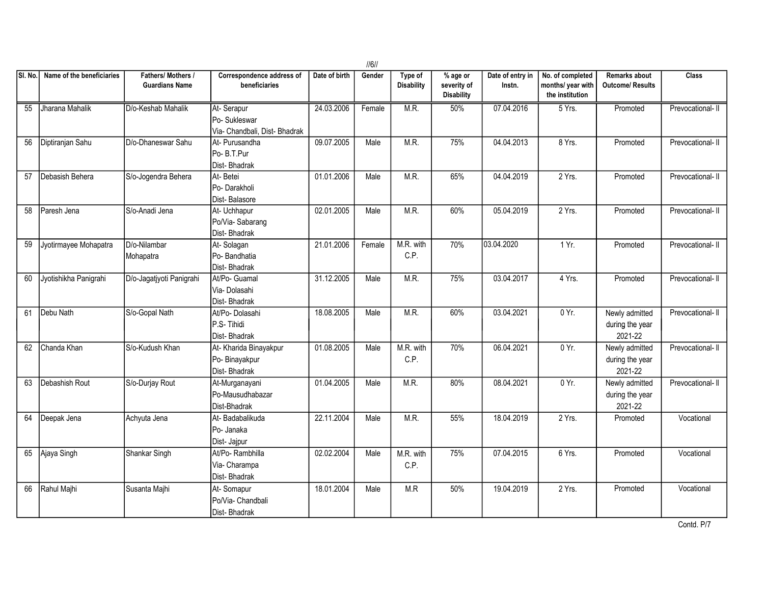|         |                           |                                           |                                                             |               | $\frac{1}{6}$ |                              |                                                |                            |                                                          |                                                 |                   |
|---------|---------------------------|-------------------------------------------|-------------------------------------------------------------|---------------|---------------|------------------------------|------------------------------------------------|----------------------------|----------------------------------------------------------|-------------------------------------------------|-------------------|
| SI. No. | Name of the beneficiaries | Fathers/Mothers/<br><b>Guardians Name</b> | Correspondence address of<br>beneficiaries                  | Date of birth | Gender        | Type of<br><b>Disability</b> | $%$ age or<br>severity of<br><b>Disability</b> | Date of entry in<br>Instn. | No. of completed<br>months/ year with<br>the institution | <b>Remarks about</b><br><b>Outcome/ Results</b> | <b>Class</b>      |
| 55      | Jharana Mahalik           | D/o-Keshab Mahalik                        | At-Serapur<br>Po-Sukleswar<br>Via- Chandbali, Dist- Bhadrak | 24.03.2006    | Female        | M.R.                         | 50%                                            | 07.04.2016                 | 5 Yrs.                                                   | Promoted                                        | Prevocational-II  |
| 56      | Diptiranjan Sahu          | D/o-Dhaneswar Sahu                        | At- Purusandha<br>Po- B.T.Pur<br>Dist-Bhadrak               | 09.07.2005    | Male          | M.R.                         | 75%                                            | 04.04.2013                 | 8 Yrs.                                                   | Promoted                                        | Prevocational-II  |
| 57      | Debasish Behera           | S/o-Jogendra Behera                       | At-Betei<br>Po-Darakholi<br>Dist-Balasore                   | 01.01.2006    | Male          | M.R.                         | 65%                                            | 04.04.2019                 | $2$ Yrs.                                                 | Promoted                                        | Prevocational- II |
| 58      | Paresh Jena               | S/o-Anadi Jena                            | At- Uchhapur<br>Po/Via-Sabarang<br>Dist-Bhadrak             | 02.01.2005    | Male          | M.R.                         | 60%                                            | 05.04.2019                 | $2$ Yrs.                                                 | Promoted                                        | Prevocational- II |
| 59      | Jyotirmayee Mohapatra     | D/o-Nilambar<br>Mohapatra                 | At-Solagan<br>Po-Bandhatia<br>Dist-Bhadrak                  | 21.01.2006    | Female        | M.R. with<br>C.P.            | 70%                                            | 03.04.2020                 | $1Yr$ .                                                  | Promoted                                        | Prevocational- II |
| 60      | Jyotishikha Panigrahi     | D/o-Jagatjyoti Panigrahi                  | At/Po- Guamal<br>Via-Dolasahi<br>Dist-Bhadrak               | 31.12.2005    | Male          | M.R.                         | 75%                                            | 03.04.2017                 | 4 Yrs.                                                   | Promoted                                        | Prevocational- II |
| 61      | Debu Nath                 | S/o-Gopal Nath                            | At/Po-Dolasahi<br>P.S-Tihidi<br>Dist-Bhadrak                | 18.08.2005    | Male          | M.R.                         | 60%                                            | 03.04.2021                 | 0 Yr.                                                    | Newly admitted<br>during the year<br>2021-22    | Prevocational- II |
| 62      | Chanda Khan               | S/o-Kudush Khan                           | At- Kharida Binayakpur<br>Po- Binayakpur<br>Dist-Bhadrak    | 01.08.2005    | Male          | M.R. with<br>C.P.            | 70%                                            | 06.04.2021                 | 0 Yr.                                                    | Newly admitted<br>during the year<br>2021-22    | Prevocational- II |
| 63      | Debashish Rout            | S/o-Durjay Rout                           | At-Murganayani<br>Po-Mausudhabazar<br>Dist-Bhadrak          | 01.04.2005    | Male          | M.R.                         | 80%                                            | 08.04.2021                 | 0 Yr.                                                    | Newly admitted<br>during the year<br>2021-22    | Prevocational- II |
| 64      | Deepak Jena               | Achyuta Jena                              | At-Badabalikuda<br>Po- Janaka<br>Dist- Jajpur               | 22.11.2004    | Male          | M.R.                         | 55%                                            | 18.04.2019                 | $2$ Yrs.                                                 | Promoted                                        | Vocational        |
| 65      | Ajaya Singh               | Shankar Singh                             | At/Po-Rambhilla<br>Via- Charampa<br>Dist-Bhadrak            | 02.02.2004    | Male          | M.R. with<br>C.P.            | 75%                                            | 07.04.2015                 | 6Yrs.                                                    | Promoted                                        | Vocational        |
| 66      | Rahul Majhi               | Susanta Majhi                             | At-Somapur<br>Po/Via- Chandbali<br>Dist-Bhadrak             | 18.01.2004    | Male          | M.R                          | 50%                                            | 19.04.2019                 | 2 Yrs.                                                   | Promoted                                        | Vocational        |

Contd. P/7